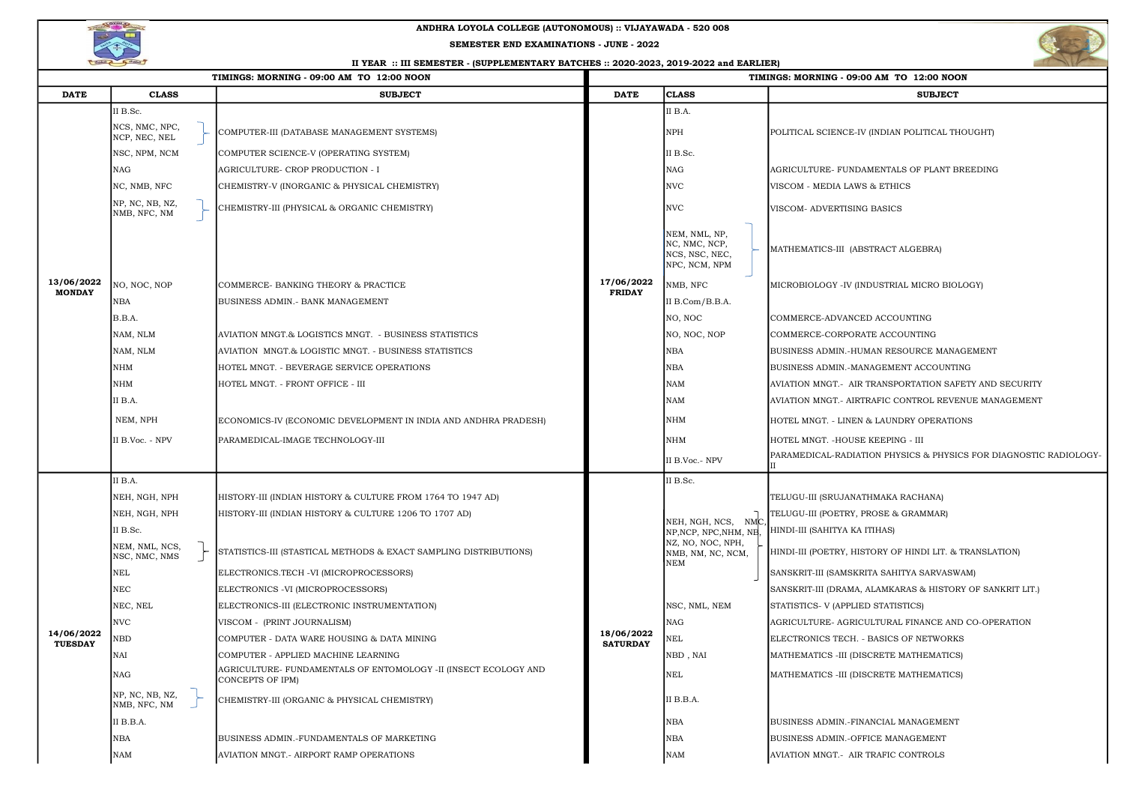| TIMINGS: MORNING - 09:00 AM TO 12:00 NOON |                                 |                                                                                     | TIMINGS: MORNING - 09:00 AM TO 12:00 NOON |                                                                                                         |                                                    |  |  |
|-------------------------------------------|---------------------------------|-------------------------------------------------------------------------------------|-------------------------------------------|---------------------------------------------------------------------------------------------------------|----------------------------------------------------|--|--|
| <b>DATE</b>                               | <b>CLASS</b>                    | <b>SUBJECT</b>                                                                      | <b>DATE</b>                               | <b>CLASS</b>                                                                                            | <b>SUBJECT</b>                                     |  |  |
|                                           | II B.Sc.                        |                                                                                     |                                           | II B.A.                                                                                                 |                                                    |  |  |
|                                           | NCS, NMC, NPC,<br>NCP, NEC, NEL | COMPUTER-III (DATABASE MANAGEMENT SYSTEMS)                                          |                                           | <b>NPH</b>                                                                                              | POLITICAL SCIENCE-IV (INDIAN POLITICAL THOUGHT)    |  |  |
|                                           | NSC, NPM, NCM                   | COMPUTER SCIENCE-V (OPERATING SYSTEM)                                               |                                           | II B.Sc.                                                                                                |                                                    |  |  |
|                                           | <b>NAG</b>                      | AGRICULTURE- CROP PRODUCTION - I                                                    |                                           | <b>NAG</b>                                                                                              | AGRICULTURE- FUNDAMENTALS OF PLANT BREEDIN         |  |  |
|                                           | NC, NMB, NFC                    | CHEMISTRY-V (INORGANIC & PHYSICAL CHEMISTRY)                                        |                                           | <b>NVC</b>                                                                                              | VISCOM - MEDIA LAWS & ETHICS                       |  |  |
|                                           | NP, NC, NB, NZ,<br>NMB, NFC, NM | CHEMISTRY-III (PHYSICAL & ORGANIC CHEMISTRY)                                        |                                           | <b>NVC</b>                                                                                              | VISCOM- ADVERTISING BASICS                         |  |  |
|                                           |                                 |                                                                                     |                                           | NEM, NML, NP,<br>NC, NMC, NCP,<br>NCS, NSC, NEC,<br>NPC, NCM, NPM                                       | MATHEMATICS-III (ABSTRACT ALGEBRA)                 |  |  |
| 13/06/2022                                | NO, NOC, NOP                    | COMMERCE-BANKING THEORY & PRACTICE                                                  | 17/06/2022                                | NMB, NFC                                                                                                | MICROBIOLOGY -IV (INDUSTRIAL MICRO BIOLOGY)        |  |  |
| <b>MONDAY</b>                             | <b>NBA</b>                      | <b>BUSINESS ADMIN. - BANK MANAGEMENT</b>                                            | <b>FRIDAY</b>                             | II B.Com/B.B.A.                                                                                         |                                                    |  |  |
|                                           | B.B.A.                          |                                                                                     |                                           | NO, NOC                                                                                                 | COMMERCE-ADVANCED ACCOUNTING                       |  |  |
|                                           | NAM, NLM                        | AVIATION MNGT.& LOGISTICS MNGT. - BUSINESS STATISTICS                               |                                           | NO, NOC, NOP                                                                                            | COMMERCE-CORPORATE ACCOUNTING                      |  |  |
|                                           | NAM, NLM                        | AVIATION MNGT.& LOGISTIC MNGT. - BUSINESS STATISTICS                                |                                           | <b>NBA</b>                                                                                              | BUSINESS ADMIN.-HUMAN RESOURCE MANAGEMENT          |  |  |
|                                           | <b>NHM</b>                      | HOTEL MNGT. - BEVERAGE SERVICE OPERATIONS                                           |                                           | <b>NBA</b>                                                                                              | BUSINESS ADMIN.-MANAGEMENT ACCOUNTING              |  |  |
|                                           | <b>NHM</b>                      | HOTEL MNGT. - FRONT OFFICE - III                                                    |                                           | <b>NAM</b>                                                                                              | AVIATION MNGT.- AIR TRANSPORTATION SAFETY ANI      |  |  |
|                                           | II B.A.                         |                                                                                     |                                           | <b>NAM</b>                                                                                              | AVIATION MNGT.- AIRTRAFIC CONTROL REVENUE MA       |  |  |
|                                           | NEM, NPH                        | ECONOMICS-IV (ECONOMIC DEVELOPMENT IN INDIA AND ANDHRA PRADESH)                     |                                           | <b>NHM</b>                                                                                              | HOTEL MNGT. - LINEN & LAUNDRY OPERATIONS           |  |  |
|                                           | II B.Voc. - NPV                 | PARAMEDICAL-IMAGE TECHNOLOGY-III                                                    |                                           | <b>NHM</b>                                                                                              | HOTEL MNGT. - HOUSE KEEPING - III                  |  |  |
|                                           |                                 |                                                                                     |                                           | II B.Voc.- NPV                                                                                          | PARAMEDICAL-RADIATION PHYSICS & PHYSICS FOR I      |  |  |
|                                           | II B.A.                         |                                                                                     | 18/06/2022<br><b>SATURDAY</b>             | II B.Sc.                                                                                                |                                                    |  |  |
|                                           | NEH, NGH, NPH                   | HISTORY-III (INDIAN HISTORY & CULTURE FROM 1764 TO 1947 AD)                         |                                           |                                                                                                         | TELUGU-III (SRUJANATHMAKA RACHANA)                 |  |  |
|                                           | NEH, NGH, NPH                   | HISTORY-III (INDIAN HISTORY & CULTURE 1206 TO 1707 AD)                              |                                           | NEH, NGH, NCS,<br>NMC<br>NP, NCP, NPC, NHM, NB,<br>NZ, NO, NOC, NPH,<br>NMB, NM, NC, NCM,<br><b>NEM</b> | TELUGU-III (POETRY, PROSE & GRAMMAR)               |  |  |
|                                           | II B.Sc.                        |                                                                                     |                                           |                                                                                                         | HINDI-III (SAHITYA KA ITIHAS)                      |  |  |
|                                           | NEM, NML, NCS,<br>NSC, NMC, NMS | STATISTICS-III (STASTICAL METHODS & EXACT SAMPLING DISTRIBUTIONS)                   |                                           |                                                                                                         | HINDI-III (POETRY, HISTORY OF HINDI LIT. & TRANSLA |  |  |
|                                           | <b>NEL</b>                      | ELECTRONICS.TECH -VI (MICROPROCESSORS)                                              |                                           |                                                                                                         | SANSKRIT-III (SAMSKRITA SAHITYA SARVASWAM)         |  |  |
|                                           | <b>NEC</b>                      | ELECTRONICS - VI (MICROPROCESSORS)                                                  |                                           |                                                                                                         | SANSKRIT-III (DRAMA, ALAMKARAS & HISTORY OF SA     |  |  |
|                                           | NEC, NEL                        | ELECTRONICS-III (ELECTRONIC INSTRUMENTATION)                                        |                                           | NSC, NML, NEM                                                                                           | STATISTICS- V (APPLIED STATISTICS)                 |  |  |
|                                           | <b>NVC</b>                      | VISCOM - (PRINT JOURNALISM)                                                         |                                           | <b>NAG</b>                                                                                              | AGRICULTURE- AGRICULTURAL FINANCE AND CO-OP        |  |  |
| 14/06/2022<br><b>TUESDAY</b>              | <b>NBD</b>                      | COMPUTER - DATA WARE HOUSING & DATA MINING                                          |                                           | $\operatorname{NEL}$                                                                                    | ELECTRONICS TECH. - BASICS OF NETWORKS             |  |  |
|                                           | <b>NAI</b>                      | COMPUTER - APPLIED MACHINE LEARNING                                                 |                                           | NBD, NAI                                                                                                | MATHEMATICS - III (DISCRETE MATHEMATICS)           |  |  |
|                                           | <b>NAG</b>                      | AGRICULTURE- FUNDAMENTALS OF ENTOMOLOGY -II (INSECT ECOLOGY AND<br>CONCEPTS OF IPM) |                                           | <b>NEL</b>                                                                                              | MATHEMATICS - III (DISCRETE MATHEMATICS)           |  |  |
|                                           | NP, NC, NB, NZ,<br>NMB, NFC, NM | CHEMISTRY-III (ORGANIC & PHYSICAL CHEMISTRY)                                        |                                           | II B.B.A.                                                                                               |                                                    |  |  |
|                                           | II B.B.A.                       |                                                                                     |                                           | <b>NBA</b>                                                                                              | BUSINESS ADMIN.-FINANCIAL MANAGEMENT               |  |  |
|                                           | <b>NBA</b>                      | BUSINESS ADMIN.-FUNDAMENTALS OF MARKETING                                           |                                           | <b>NBA</b>                                                                                              | <b>BUSINESS ADMIN.-OFFICE MANAGEMENT</b>           |  |  |
|                                           | <b>NAM</b>                      | AVIATION MNGT. - AIRPORT RAMP OPERATIONS                                            |                                           | <b>NAM</b>                                                                                              | AVIATION MNGT.- AIR TRAFIC CONTROLS                |  |  |



# 09:00 AM TO 12:00 NOON

AIR TRANSPORTATION SAFETY AND SECURITY

AIRTRAFIC CONTROL REVENUE MANAGEMENT

DIATION PHYSICS & PHYSICS FOR DIAGNOSTIC RADIOLOGY-

HISTORY OF HINDI LIT. & TRANSLATION)

MA, ALAMKARAS & HISTORY OF SANKRIT LIT.)

RICULTURAL FINANCE AND CO-OPERATION



## ANDHRA LOYOLA COLLEGE (AUTONOMOUS) :: VIJAYAWADA - 520 008

### II YEAR :: III SEMESTER - (SUPPLEMENTARY BATCHES :: 2020-2023, 2019-2022 and EARLIER)

#### SEMESTER END EXAMINATIONS - JUNE - 2022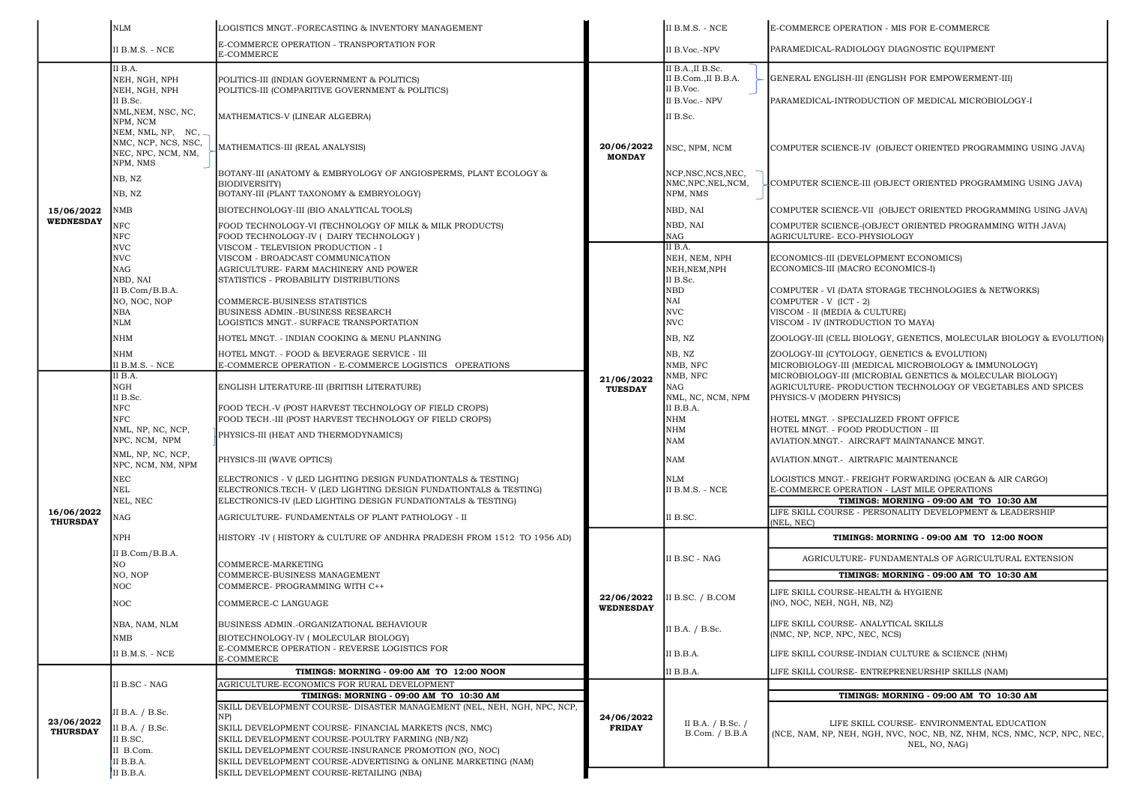SKILL COURSE- ENVIRONMENTAL EDUCATION CH, NGH, NVC, NOC, NB, NZ, NHM, NCS, NMC, NCP, NPC, NEC, NEL, NO, NAG)

|            |                               | NLM                                                                                    | LOGISTICS MNGT.-FORECASTING & INVENTORY MANAGEMENT                                                                                                                                                                                    |                                                             | II B.M.S. - NCE                                                                   | E-COMMERCE OPERATION - MIS FOR E-COM                                                                                                     |
|------------|-------------------------------|----------------------------------------------------------------------------------------|---------------------------------------------------------------------------------------------------------------------------------------------------------------------------------------------------------------------------------------|-------------------------------------------------------------|-----------------------------------------------------------------------------------|------------------------------------------------------------------------------------------------------------------------------------------|
|            |                               | II B.M.S. - NCE                                                                        | E-COMMERCE OPERATION - TRANSPORTATION FOR<br>E-COMMERCE                                                                                                                                                                               |                                                             | II B.Voc.-NPV                                                                     | PARAMEDICAL-RADIOLOGY DIAGNOSTIC EQU                                                                                                     |
|            |                               | II B.A.<br>NEH, NGH, NPH<br>NEH, NGH, NPH                                              | POLITICS-III (INDIAN GOVERNMENT & POLITICS)<br>POLITICS-III (COMPARITIVE GOVERNMENT & POLITICS)                                                                                                                                       | 20/06/2022<br><b>MONDAY</b><br>21/06/2022<br><b>TUESDAY</b> | II B.A., II B.Sc.<br>II B.Com., II B.B.A.<br>II B.Voc.                            | GENERAL ENGLISH-III (ENGLISH FOR EMPOV                                                                                                   |
|            |                               | II B.Sc.<br>NML, NEM, NSC, NC,                                                         | MATHEMATICS-V (LINEAR ALGEBRA)                                                                                                                                                                                                        |                                                             | II B.Voc.- NPV<br>II B.Sc.                                                        | PARAMEDICAL-INTRODUCTION OF MEDICAL                                                                                                      |
|            |                               | NPM, NCM<br>NEM, NML, NP, NC,<br>NMC, NCP, NCS, NSC,<br>NEC, NPC, NCM, NM,<br>NPM, NMS | MATHEMATICS-III (REAL ANALYSIS)                                                                                                                                                                                                       |                                                             | NSC, NPM, NCM                                                                     | COMPUTER SCIENCE-IV (OBJECT ORIENTED                                                                                                     |
|            |                               | NB, NZ<br>NB, NZ                                                                       | BOTANY-III (ANATOMY & EMBRYOLOGY OF ANGIOSPERMS, PLANT ECOLOGY &<br><b>BIODIVERSITY</b> )<br>BOTANY-III (PLANT TAXONOMY & EMBRYOLOGY)                                                                                                 |                                                             | NCP, NSC, NCS, NEC,<br>NMC, NPC, NEL, NCM,<br>NPM, NMS                            | COMPUTER SCIENCE-III (OBJECT ORIENTED                                                                                                    |
|            | 15/06/2022                    | $\rm NMB$                                                                              | BIOTECHNOLOGY-III (BIO ANALYTICAL TOOLS)                                                                                                                                                                                              |                                                             | NBD, NAI                                                                          | COMPUTER SCIENCE-VII (OBJECT ORIENTEI                                                                                                    |
|            | <b>WEDNESDAY</b>              | $_{\rm{NFC}}$<br>${\rm NFC}$                                                           | FOOD TECHNOLOGY-VI (TECHNOLOGY OF MILK & MILK PRODUCTS)<br>FOOD TECHNOLOGY-IV ( DAIRY TECHNOLOGY )                                                                                                                                    |                                                             | NBD, NAI<br>$\rm NAG$                                                             | COMPUTER SCIENCE-(OBJECT ORIENTED PR<br>AGRICULTURE- ECO-PHYSIOLOGY                                                                      |
|            |                               | <b>NVC</b><br><b>NVC</b><br><b>NAG</b><br>NBD, NAI                                     | VISCOM - TELEVISION PRODUCTION - I<br>VISCOM - BROADCAST COMMUNICATION<br>AGRICULTURE- FARM MACHINERY AND POWER<br>STATISTICS - PROBABILITY DISTRIBUTIONS                                                                             |                                                             | II B.A.<br>NEH, NEM, NPH<br>NEH, NEM, NPH<br>II B.Sc.                             | ECONOMICS-III (DEVELOPMENT ECONOMICS<br>ECONOMICS-III (MACRO ECONOMICS-I)                                                                |
|            |                               | II B.Com/B.B.A.<br>NO, NOC, NOP<br><b>NBA</b><br><b>NLM</b>                            | COMMERCE-BUSINESS STATISTICS<br>BUSINESS ADMIN.-BUSINESS RESEARCH<br>LOGISTICS MNGT.- SURFACE TRANSPORTATION                                                                                                                          |                                                             | ${\tt NBD}$<br>NAI<br><b>NVC</b><br><b>NVC</b>                                    | COMPUTER - VI (DATA STORAGE TECHNOLOO<br>$COMPUTER - V (ICT - 2)$<br>VISCOM - II (MEDIA & CULTURE)<br>VISCOM - IV (INTRODUCTION TO MAYA) |
|            |                               | <b>NHM</b>                                                                             | HOTEL MNGT. - INDIAN COOKING & MENU PLANNING                                                                                                                                                                                          |                                                             | NB, NZ                                                                            | ZOOLOGY-III (CELL BIOLOGY, GENETICS, MO                                                                                                  |
|            |                               | <b>NHM</b><br>II B.M.S. - NCE                                                          | HOTEL MNGT. - FOOD & BEVERAGE SERVICE - III<br>E-COMMERCE OPERATION - E-COMMERCE LOGISTICS OPERATIONS                                                                                                                                 |                                                             | NB, NZ<br>NMB, NFC                                                                | ZOOLOGY-III (CYTOLOGY, GENETICS & EVOL<br>MICROBIOLOGY-III (MEDICAL MICROBIOLOG                                                          |
|            |                               | II B.A.<br>NGH<br>II B.Sc.                                                             | ENGLISH LITERATURE-III (BRITISH LITERATURE)                                                                                                                                                                                           |                                                             | NMB, NFC<br><b>NAG</b><br>NML, NC, NCM, NPM                                       | MICROBIOLOGY-III (MICROBIAL GENETICS &<br>AGRICULTURE- PRODUCTION TECHNOLOGY<br>PHYSICS-V (MODERN PHYSICS)                               |
|            |                               | <b>NFC</b><br>$_{\rm{NFC}}$<br>NML, NP, NC, NCP,                                       | FOOD TECH.-V (POST HARVEST TECHNOLOGY OF FIELD CROPS)<br>FOOD TECH.-III (POST HARVEST TECHNOLOGY OF FIELD CROPS)<br>PHYSICS-III (HEAT AND THERMODYNAMICS)                                                                             |                                                             | II B.B.A.<br>$\mathbf{N}\mathbf{H}\mathbf{M}$<br>$\mathbf{N}\mathbf{H}\mathbf{M}$ | HOTEL MNGT. - SPECIALIZED FRONT OFFICE<br>HOTEL MNGT. - FOOD PRODUCTION - III                                                            |
|            |                               | NPC, NCM, NPM<br>NML, NP, NC, NCP,<br>NPC, NCM, NM, NPM                                | PHYSICS-III (WAVE OPTICS)                                                                                                                                                                                                             |                                                             | NAM<br><b>NAM</b>                                                                 | AVIATION.MNGT.- AIRCRAFT MAINTANANCE I<br>AVIATION.MNGT.- AIRTRAFIC MAINTENANCE                                                          |
|            |                               | $\rm{NEC}$<br>NEL<br>NEL, NEC                                                          | ELECTRONICS - V (LED LIGHTING DESIGN FUNDATIONTALS & TESTING)<br>ELECTRONICS.TECH- V (LED LIGHTING DESIGN FUNDATIONTALS & TESTING)<br>ELECTRONICS-IV (LED LIGHTING DESIGN FUNDATIONTALS & TESTING)                                    |                                                             | <b>NLM</b><br>II B.M.S. - NCE                                                     | LOGISTICS MNGT.- FREIGHT FORWARDING (O<br>E-COMMERCE OPERATION - LAST MILE OPER<br>TIMINGS: MORNING - 09:00                              |
|            | 16/06/2022<br><b>THURSDAY</b> | $\rm NAG$                                                                              | AGRICULTURE- FUNDAMENTALS OF PLANT PATHOLOGY - II                                                                                                                                                                                     |                                                             | II B.SC.                                                                          | LIFE SKILL COURSE - PERSONALITY DEVELO<br>(NEL, NEC)                                                                                     |
|            |                               | <b>NPH</b>                                                                             | HISTORY -IV (HISTORY & CULTURE OF ANDHRA PRADESH FROM 1512 TO 1956 AD)                                                                                                                                                                |                                                             |                                                                                   | TIMINGS: MORNING - 09:00 A                                                                                                               |
| 23/06/2022 |                               | II B.Com/B.B.A.<br>NО                                                                  | COMMERCE-MARKETING                                                                                                                                                                                                                    | 22/06/2022<br><b>WEDNESDAY</b>                              | II B.SC - NAG                                                                     | AGRICULTURE- FUNDAMENTALS OF A                                                                                                           |
|            |                               | NO, NOP<br><b>NOC</b>                                                                  | COMMERCE-BUSINESS MANAGEMENT<br>COMMERCE- PROGRAMMING WITH C++                                                                                                                                                                        |                                                             |                                                                                   | TIMINGS: MORNING - 09:00                                                                                                                 |
|            |                               | NOC                                                                                    | COMMERCE-C LANGUAGE                                                                                                                                                                                                                   |                                                             | II B.SC. / B.COM                                                                  | LIFE SKILL COURSE-HEALTH & HYGIENE<br>(NO, NOC, NEH, NGH, NB, NZ)                                                                        |
|            |                               | NBA, NAM, NLM<br><b>NMB</b>                                                            | BUSINESS ADMIN.-ORGANIZATIONAL BEHAVIOUR<br>BIOTECHNOLOGY-IV (MOLECULAR BIOLOGY)                                                                                                                                                      |                                                             | II B.A. / B.Sc.                                                                   | LIFE SKILL COURSE- ANALYTICAL SKILLS<br>(NMC, NP, NCP, NPC, NEC, NCS)                                                                    |
|            |                               | II B.M.S. - NCE                                                                        | E-COMMERCE OPERATION - REVERSE LOGISTICS FOR<br><b>E-COMMERCE</b>                                                                                                                                                                     |                                                             | II B.B.A.                                                                         | LIFE SKILL COURSE-INDIAN CULTURE & SCII                                                                                                  |
|            |                               |                                                                                        | TIMINGS: MORNING - 09:00 AM TO 12:00 NOON                                                                                                                                                                                             |                                                             | II B.B.A.                                                                         | LIFE SKILL COURSE- ENTREPRENEURSHIP SI                                                                                                   |
|            |                               | II B.SC - NAG                                                                          | AGRICULTURE-ECONOMICS FOR RURAL DEVELOPMENT                                                                                                                                                                                           |                                                             | II B.A. / B.Sc. /<br>B.Com. / B.B.A                                               | TIMINGS: MORNING - 09:00                                                                                                                 |
|            |                               | II B.A. / B.Sc.                                                                        | TIMINGS: MORNING - 09:00 AM TO 10:30 AM<br>SKILL DEVELOPMENT COURSE- DISASTER MANAGEMENT (NEL, NEH, NGH, NPC, NCP,<br>NP)                                                                                                             | 24/06/2022                                                  |                                                                                   |                                                                                                                                          |
|            | <b>THURSDAY</b>               | II B.A. / B.Sc.<br>II B.SC.<br>II B.Com.                                               | SKILL DEVELOPMENT COURSE- FINANCIAL MARKETS (NCS, NMC)<br>SKILL DEVELOPMENT COURSE-POULTRY FARMING (NB/NZ)<br>SKILL DEVELOPMENT COURSE-INSURANCE PROMOTION (NO, NOC)<br>SKILL DEVELOPMENT COURSE-ADVERTISING & ONLINE MARKETING (NAM) | <b>FRIDAY</b>                                               |                                                                                   | LIFE SKILL COURSE- ENVIRON<br>(NCE, NAM, NP, NEH, NGH, NVC, NOC, NB, N2<br>NEL, NO, NA                                                   |
|            |                               | II B.B.A.<br>II B.B.A.                                                                 | SKILL DEVELOPMENT COURSE-RETAILING (NBA)                                                                                                                                                                                              |                                                             |                                                                                   |                                                                                                                                          |

ERATION - MIS FOR E-COMMERCE

DIOLOGY DIAGNOSTIC EQUIPMENT

I-III (ENGLISH FOR EMPOWERMENT-III)

RODUCTION OF MEDICAL MICROBIOLOGY-I

CE-IV (OBJECT ORIENTED PROGRAMMING USING JAVA)

CE-III (OBJECT ORIENTED PROGRAMMING USING JAVA)

CE-VII (OBJECT ORIENTED PROGRAMMING USING JAVA) CE-(OBJECT ORIENTED PROGRAMMING WITH JAVA)<br>:O-PHYSIOLOGY

ATA STORAGE TECHNOLOGIES & NETWORKS)

BIOLOGY, GENETICS, MOLECULAR BIOLOGY & EVOLUTION)

DLOGY, GENETICS & EVOLUTION) I (MEDICAL MICROBIOLOGY & IMMUNOLOGY) (MICROBIAL GENETICS & MOLECULAR BIOLOGY) ODUCTION TECHNOLOGY OF VEGETABLES AND SPICES

ECIALIZED FRONT OFFICE OD PRODUCTION - III AIRCRAFT MAINTANANCE MNGT.

FREIGHT FORWARDING (OCEAN & AIR CARGO) ERATION - LAST MILE OPERATIONS  $MINGS: MORMING - 09:00 AM TO 10:30 AM$ E - PERSONALITY DEVELOPMENT & LEADERSHIP

 $H$ INGS: MORNING - 09:00 AM TO 12:00 NOON

JRE- FUNDAMENTALS OF AGRICULTURAL EXTENSION

MINGS: MORNING - 09:00 AM TO 10:30 AM

E-INDIAN CULTURE & SCIENCE (NHM)

E- ENTREPRENEURSHIP SKILLS (NAM)

## $MINGS: MORMING - 09:00 AM TO 10:30 AM$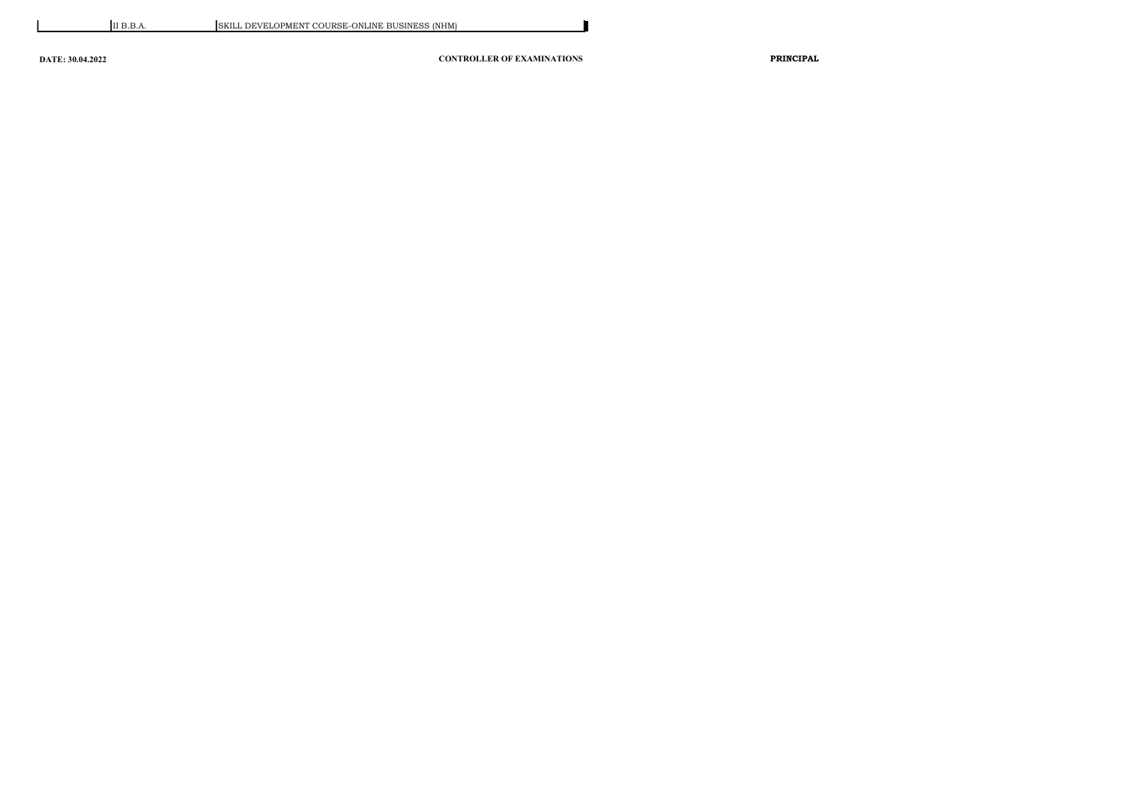DATE: 30.04.2022 CONTROLLER OF EXAMINATIONS PRINCIPAL